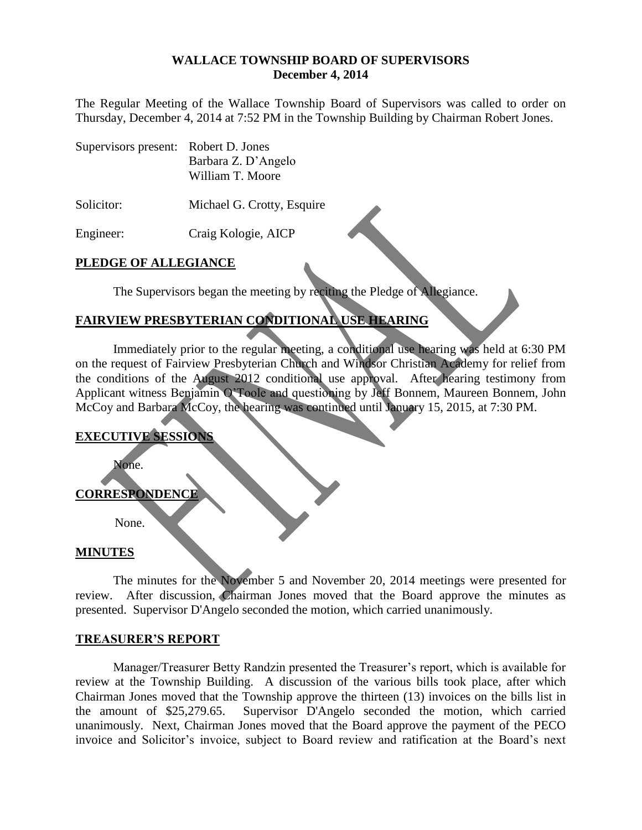#### **WALLACE TOWNSHIP BOARD OF SUPERVISORS December 4, 2014**

The Regular Meeting of the Wallace Township Board of Supervisors was called to order on Thursday, December 4, 2014 at 7:52 PM in the Township Building by Chairman Robert Jones.

| Supervisors present: Robert D. Jones |                     |
|--------------------------------------|---------------------|
|                                      | Barbara Z. D'Angelo |
|                                      | William T. Moore    |

Solicitor: Michael G. Crotty, Esquire

Engineer: Craig Kologie, AICP

# **PLEDGE OF ALLEGIANCE**

The Supervisors began the meeting by reciting the Pledge of Allegiance.

# **FAIRVIEW PRESBYTERIAN CONDITIONAL USE HEARING**

Immediately prior to the regular meeting, a conditional use hearing was held at 6:30 PM on the request of Fairview Presbyterian Church and Windsor Christian Academy for relief from the conditions of the August 2012 conditional use approval. After hearing testimony from Applicant witness Benjamin O'Toole and questioning by Jeff Bonnem, Maureen Bonnem, John McCoy and Barbara McCoy, the hearing was continued until January 15, 2015, at 7:30 PM.

# **EXECUTIVE SESSIONS**

None.

### **CORRESPONDENCE**

None.

### **MINUTES**

The minutes for the November 5 and November 20, 2014 meetings were presented for review. After discussion, Chairman Jones moved that the Board approve the minutes as presented. Supervisor D'Angelo seconded the motion, which carried unanimously.

### **TREASURER'S REPORT**

Manager/Treasurer Betty Randzin presented the Treasurer's report, which is available for review at the Township Building. A discussion of the various bills took place, after which Chairman Jones moved that the Township approve the thirteen (13) invoices on the bills list in the amount of \$25,279.65. Supervisor D'Angelo seconded the motion, which carried unanimously. Next, Chairman Jones moved that the Board approve the payment of the PECO invoice and Solicitor's invoice, subject to Board review and ratification at the Board's next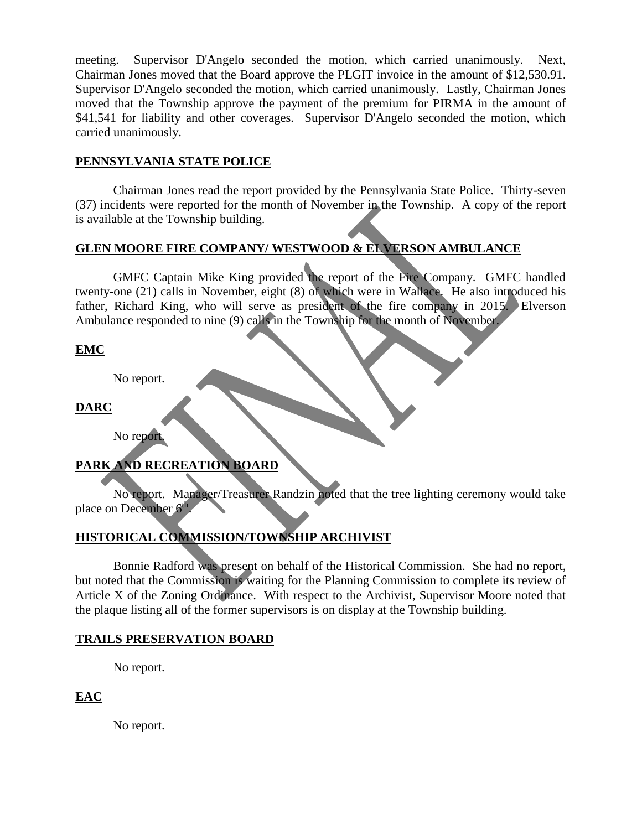meeting. Supervisor D'Angelo seconded the motion, which carried unanimously. Next, Chairman Jones moved that the Board approve the PLGIT invoice in the amount of \$12,530.91. Supervisor D'Angelo seconded the motion, which carried unanimously. Lastly, Chairman Jones moved that the Township approve the payment of the premium for PIRMA in the amount of \$41,541 for liability and other coverages. Supervisor D'Angelo seconded the motion, which carried unanimously.

## **PENNSYLVANIA STATE POLICE**

Chairman Jones read the report provided by the Pennsylvania State Police. Thirty-seven (37) incidents were reported for the month of November in the Township. A copy of the report is available at the Township building.

# **GLEN MOORE FIRE COMPANY/ WESTWOOD & ELVERSON AMBULANCE**

GMFC Captain Mike King provided the report of the Fire Company. GMFC handled twenty-one (21) calls in November, eight (8) of which were in Wallace. He also introduced his father, Richard King, who will serve as president of the fire company in 2015. Elverson Ambulance responded to nine (9) calls in the Township for the month of November.

# **EMC**

No report.

**DARC**

No report.

# **PARK AND RECREATION BOARD**

No report. Manager/Treasurer Randzin noted that the tree lighting ceremony would take place on December 6<sup>th</sup>.

# **HISTORICAL COMMISSION/TOWNSHIP ARCHIVIST**

Bonnie Radford was present on behalf of the Historical Commission. She had no report, but noted that the Commission is waiting for the Planning Commission to complete its review of Article X of the Zoning Ordinance. With respect to the Archivist, Supervisor Moore noted that the plaque listing all of the former supervisors is on display at the Township building.

# **TRAILS PRESERVATION BOARD**

No report.

**EAC**

No report.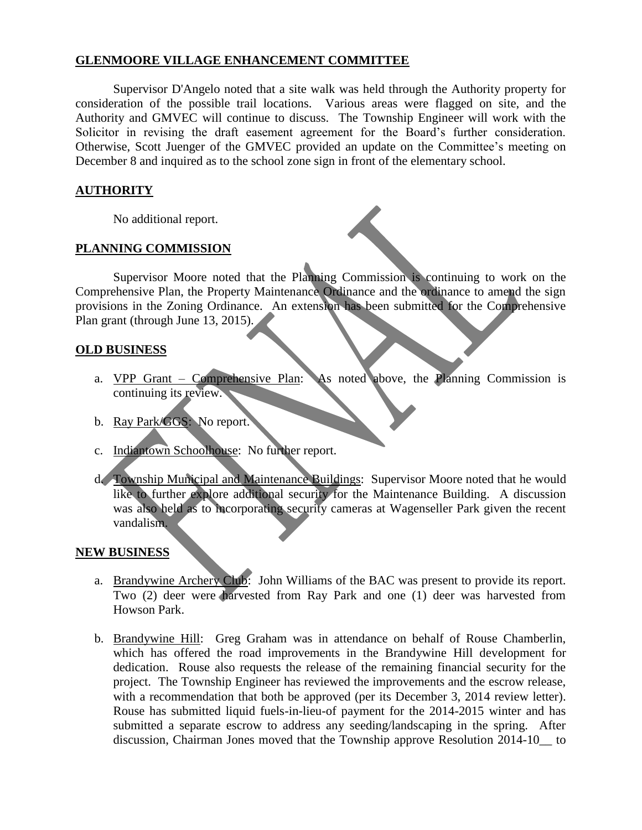# **GLENMOORE VILLAGE ENHANCEMENT COMMITTEE**

Supervisor D'Angelo noted that a site walk was held through the Authority property for consideration of the possible trail locations. Various areas were flagged on site, and the Authority and GMVEC will continue to discuss. The Township Engineer will work with the Solicitor in revising the draft easement agreement for the Board's further consideration. Otherwise, Scott Juenger of the GMVEC provided an update on the Committee's meeting on December 8 and inquired as to the school zone sign in front of the elementary school.

# **AUTHORITY**

No additional report.

## **PLANNING COMMISSION**

Supervisor Moore noted that the Planning Commission is continuing to work on the Comprehensive Plan, the Property Maintenance Ordinance and the ordinance to amend the sign provisions in the Zoning Ordinance. An extension has been submitted for the Comprehensive Plan grant (through June 13, 2015).

## **OLD BUSINESS**

- a. VPP Grant Comprehensive Plan: As noted above, the Planning Commission is continuing its review.
- b. Ray Park/GGS: No report.
- c. Indiantown Schoolhouse: No further report.
- d. Township Municipal and Maintenance Buildings: Supervisor Moore noted that he would like to further explore additional security for the Maintenance Building. A discussion was also held as to incorporating security cameras at Wagenseller Park given the recent vandalism.

### **NEW BUSINESS**

- a. Brandywine Archery Club: John Williams of the BAC was present to provide its report. Two (2) deer were harvested from Ray Park and one (1) deer was harvested from Howson Park.
- b. Brandywine Hill: Greg Graham was in attendance on behalf of Rouse Chamberlin, which has offered the road improvements in the Brandywine Hill development for dedication. Rouse also requests the release of the remaining financial security for the project. The Township Engineer has reviewed the improvements and the escrow release, with a recommendation that both be approved (per its December 3, 2014 review letter). Rouse has submitted liquid fuels-in-lieu-of payment for the 2014-2015 winter and has submitted a separate escrow to address any seeding/landscaping in the spring. After discussion, Chairman Jones moved that the Township approve Resolution 2014-10\_\_ to